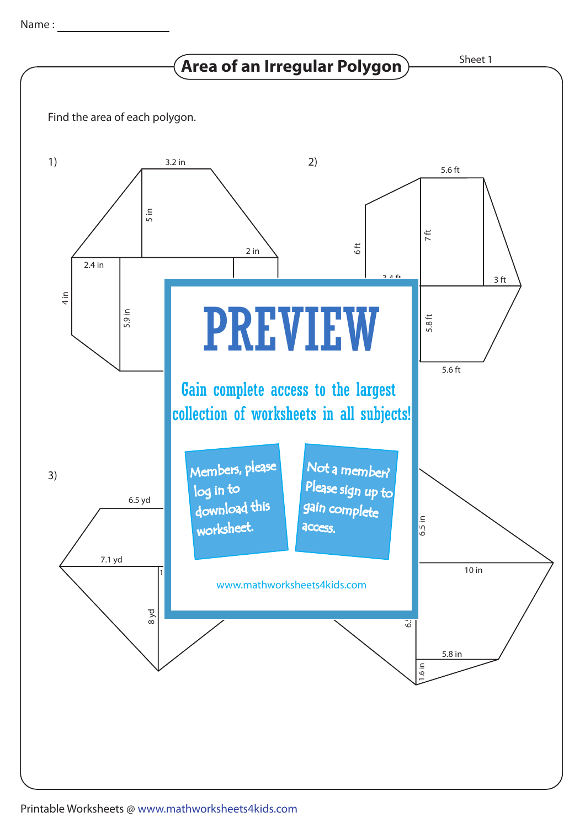